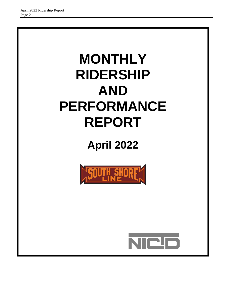# **MONTHLY RIDERSHIP AND PERFORMANCE REPORT**

## **April 2022**



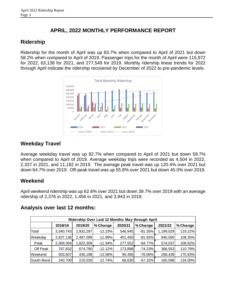#### **APRIL, 2022 MONTHLY PERFORMANCE REPORT**

### **Ridership**

Ridership for the month of April was up 83.7% when compared to April of 2021 but down 58.2% when compared to April of 2019. Passenger trips for the month of April were 115,972 for 2022, 63,138 for 2021, and 277,549 for 2019. Monthly ridership linear trends for 2022 through April indicate the ridership recovered by December of 2022 to pre-pandemic levels.



## **Weekday Travel**

Average weekday travel was up 92.7% when compared to April of 2021 but down 59.7% when compared to April of 2019. Average weekday trips were recorded as 4,504 in 2022, 2,337 in 2021, and 11,182 in 2019. The average peak travel was up 120.4% over 2021 but down 64.7% over 2019. Off-peak travel was up 55.8% over 2021 but down 45.0% over 2019.

#### **Weekend**

April weekend ridership was up 62.6% over 2021 but down 39.7% over 2019 with an average ridership of 2,376 in 2022, 1,456 in 2021, and 3,943 in 2019.

|            | Ridership Over Last 12 Months: May through April |           |           |         |            |           |          |  |  |  |  |  |  |
|------------|--------------------------------------------------|-----------|-----------|---------|------------|-----------|----------|--|--|--|--|--|--|
|            | 2018/19                                          | 2019/20   | % Change  | 2020/21 | % Change   | 2021/22   | % Change |  |  |  |  |  |  |
| Total      | 3,340,743                                        | 2,932,297 | $-12.23%$ | 546,945 | $-81.35%$  | 1,199,029 | 119.22%  |  |  |  |  |  |  |
| Weekday    | 2,837,136                                        | 2,497,099 | $-11.99%$ | 451,450 | $-81.92%$  | 940,590   | 108.35%  |  |  |  |  |  |  |
| Peak       | 2,069,304                                        | 1,822,309 | $-11.94%$ | 277,552 | $-84.77%$  | 574,037   | 106.82%  |  |  |  |  |  |  |
| Off Peak   | 767,832                                          | 674,790   | $-12.12%$ | 173,898 | $-74.23%$  | 366,553   | 110.79%  |  |  |  |  |  |  |
| Weekend    | 503,607                                          | 435,198   | $-13.58%$ | 95,495  | $-78.06\%$ | 258,439   | 170.63%  |  |  |  |  |  |  |
| South Bend | 240,700                                          | 210,026   | $-12.74%$ | 68,630  | $-67.32%$  | 160,596   | 134.00%  |  |  |  |  |  |  |

#### **Analysis over last 12 months:**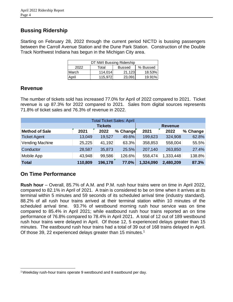#### **Bussing Ridership**

Starting on February 28, 2022 through the current period NICTD is bussing passengers between the Carroll Avenue Station and the Dune Park Station. Construction of the Double Track Northwest Indiana has begun in the Michigan City area.

| DT NWI Bussing Ridership                   |          |        |        |  |  |  |  |
|--------------------------------------------|----------|--------|--------|--|--|--|--|
| 2022<br>% Bussed<br>Total<br><b>Bussed</b> |          |        |        |  |  |  |  |
| March.                                     | 114.014  | 21,123 | 18.53% |  |  |  |  |
| April                                      | 115.9721 | 23,091 | 19.91% |  |  |  |  |

#### **Revenue**

The number of tickets sold has increased 77.0% for April of 2022 compared to 2021. Ticket revenue is up 87.3% for 2022 compared to 2021. Sales from digital sources represents 71.8% of ticket sales and 76.3% of revenue in 2022.

| <b>Total Ticket Sales: April</b> |         |                |          |           |           |           |  |  |  |  |  |
|----------------------------------|---------|----------------|----------|-----------|-----------|-----------|--|--|--|--|--|
|                                  |         | <b>Revenue</b> |          |           |           |           |  |  |  |  |  |
| <b>Method of Sale</b>            | 2021    | 2022           | % Change | 2021      | 2022      | ∣% Change |  |  |  |  |  |
| <b>Ticket Agent</b>              | 13,049  | 19,527         | 49.6%    | 199,623   | 324,908   | 62.8%     |  |  |  |  |  |
| Vending Machine                  | 25,225  | 41,192         | 63.3%    | 358,853   | 558,004   | 55.5%     |  |  |  |  |  |
| Conductor                        | 28,587  | 35,873         | 25.5%    | 207,140   | 263,850   | 27.4%     |  |  |  |  |  |
| Mobile App                       | 43,948  | 99,586         | 126.6%   | 558,474   | 1,333,448 | 138.8%    |  |  |  |  |  |
| <b>Total</b>                     | 110,809 | 196,178        | 77.0%    | 1,324,090 | 2,480,209 | 87.3%     |  |  |  |  |  |

#### **On Time Performance**

l

**Rush hour** – Overall, 85.7% of A.M. and P.M. rush hour trains were on time in April 2022, compared to 82.1% in April of 2021. A train is considered to be on time when it arrives at its terminal within 5 minutes and 59 seconds of its scheduled arrival time (industry standard). 88.2% of all rush hour trains arrived at their terminal station within 10 minutes of the scheduled arrival time. 93.7% of westbound morning rush hour service was on time compared to 85.4% in April 2021; while eastbound rush hour trains reported an on time performance of 76.8% compared to 78.4% in April 2021. A total of 12 out of 189 westbound rush hour trains were delayed in April. Of those 12, 5 experienced delays greater than 15 minutes. The eastbound rush hour trains had a total of 39 out of 168 trains delayed in April. Of those 39, 22 experienced delays greater than 15 minutes.<sup>1</sup>

<sup>1</sup>Weekday rush-hour trains operate 9 westbound and 8 eastbound per day.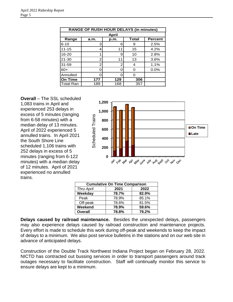|                  | <b>RANGE OF RUSH HOUR DELAYS (in minutes)</b> |      |              |                |  |  |  |  |  |  |  |
|------------------|-----------------------------------------------|------|--------------|----------------|--|--|--|--|--|--|--|
|                  | <b>April</b>                                  |      |              |                |  |  |  |  |  |  |  |
| Range            | a.m.                                          | p.m. | <b>Total</b> | <b>Percent</b> |  |  |  |  |  |  |  |
| $6 - 10$         | 3                                             | 6    | 9            | 2.5%           |  |  |  |  |  |  |  |
| $11 - 15$        | 4                                             | 1    | 15           | 4.2%           |  |  |  |  |  |  |  |
| 16-20            |                                               | 9    | 10           | 2.8%           |  |  |  |  |  |  |  |
| $21 - 30$        | 2                                             | 11   | 13           | 3.6%           |  |  |  |  |  |  |  |
| $31 - 59$        | 2                                             | 2    | 4            | 1.1%           |  |  |  |  |  |  |  |
| $60+$            |                                               |      | 0            | 0.0%           |  |  |  |  |  |  |  |
| Annulled         |                                               |      | ŋ            |                |  |  |  |  |  |  |  |
| On Time          | 177                                           | 129  | 306          |                |  |  |  |  |  |  |  |
| <b>Total Ran</b> | 189                                           | 168  | 357          |                |  |  |  |  |  |  |  |

**Overall** – The SSL scheduled 1,083 trains in April and experienced 253 delays in excess of 5 minutes (ranging from 6-58 minutes) with a median delay of 13 minutes. April of 2022 experienced 5 annulled trains. In April 2021 the South Shore Line scheduled 1,106 trains with 252 delays in excess of 5 minutes (ranging from 6-122 minutes) with a median delay of 12 minutes. April of 2021 experienced no annulled trains.



| <b>Cumulative On Time Comparison</b> |       |       |  |  |  |  |  |  |
|--------------------------------------|-------|-------|--|--|--|--|--|--|
| 2021<br>2022<br><b>Thru April</b>    |       |       |  |  |  |  |  |  |
| Weekday                              | 78.7% | 82.9% |  |  |  |  |  |  |
| Peak                                 | 78.9% | 85.1% |  |  |  |  |  |  |
| Off-peak                             | 78.6% | 81.5% |  |  |  |  |  |  |
| Weekend                              | 78.9% | 59.6% |  |  |  |  |  |  |
| <b>Overall</b>                       | 78.8% | 79.2% |  |  |  |  |  |  |

**Delays caused by railroad maintenance.** Besides the unexpected delays, passengers may also experience delays caused by railroad construction and maintenance projects. Every effort is made to schedule this work during off-peak and weekends to keep the impact of delays to a minimum. We also post service bulletins in the stations and on our web site in advance of anticipated delays.

Construction of the Double Track Northwest Indiana Project began on February 28, 2022. NICTD has contracted out bussing services in order to transport passengers around track outages necessary to facilitate construction. Staff will continually monitor this service to ensure delays are kept to a minimum.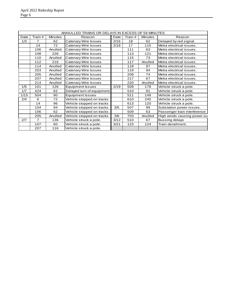|      | ANNULLED TRAINS OR DELAYS IN EXCESS OF 59 MINUTES |                |                             |      |         |                |                              |  |  |  |  |
|------|---------------------------------------------------|----------------|-----------------------------|------|---------|----------------|------------------------------|--|--|--|--|
| Date | Train #                                           | <b>Minutes</b> | Reason                      | Date | Train # | <b>Minutes</b> | Reason                       |  |  |  |  |
| 1/3  | 7                                                 | 62             | Catenary Wire Issues        | 2/16 | 18      | 62             | Delayed by red signal.       |  |  |  |  |
|      | 14                                                | 72             | Catenary Wire Issues        | 2/18 | 17      | 115            | Metra electrical issues.     |  |  |  |  |
|      | 106                                               | Anulled        | <b>Catenary Wire Issues</b> |      | 111     | 63             | Metra electrical issues.     |  |  |  |  |
|      | 108                                               | 226            | Catenary Wire Issues        |      | 113     | 121            | Metra electrical issues.     |  |  |  |  |
|      | 110                                               | Anulled        | Catenary Wire Issues        |      | 115     | 73             | Metra electrical issues.     |  |  |  |  |
|      | 112                                               | 216            | Catenary Wire Issues        |      | 117     | Anulled        | Metra electrical issues.     |  |  |  |  |
|      | 114                                               | Anulled        | Catenary Wire Issues        |      | 118     | 97             | Metra electrical issues.     |  |  |  |  |
|      | 203                                               | Anulled        | Catenary Wire Issues        |      | 119     | 94             | Metra electrical issues.     |  |  |  |  |
|      | 205                                               | Anulled        | Catenary Wire Issues        |      | 209     | 74             | Metra electrical issues.     |  |  |  |  |
|      | 207                                               | Anulled        | Catenary Wire Issues        |      | 217     | 67             | Metra electrical issues.     |  |  |  |  |
|      | 214                                               | Anulled        | Catenary Wire Issues        |      | 220     | Anulled        | Metra electrical issues.     |  |  |  |  |
| 1/5  | 101                                               | 126            | <b>Equipment Issues</b>     | 2/19 | 509     | 178            | Vehicle struck a pole.       |  |  |  |  |
| 1/7  | 424                                               | 62             | Delayed turn of equipment.  |      | 510     | 91             | Vehicle struck a pole.       |  |  |  |  |
| 1/15 | 504                                               | 90             | <b>Equipment Issues</b>     |      | 511     | 149            | Vehicle struck a pole.       |  |  |  |  |
| 2/4  | 6                                                 | 72             | Vehicle stopped on tracks   |      | 610     | 240            | Vehicle struck a pole.       |  |  |  |  |
|      | 14                                                | 96             | Vehicle stopped on tracks   |      | 613     | 120            | Vehicle struck a pole.       |  |  |  |  |
|      | 104                                               | 94             | Vehicle stopped on tracks   | 3/5  | 507     | 99             | Substation power issues.     |  |  |  |  |
|      | 106                                               | 62             | Vehicle stopped on tracks   |      | 509     | 63             | Passenger train interference |  |  |  |  |
|      | 205                                               | Anulled        | Vehicle stopped on tracks   | 3/6  | 703     | Anulled        | High winds causing power ou  |  |  |  |  |
| 2/7  | 7                                                 | 136            | Vehicle struck a pole.      | 3/12 | 510     | 67             | Bussing delays               |  |  |  |  |
|      | 107                                               | 60             | Vehicle struck a pole.      | 3/21 | 123     | 124            | Train derailment.            |  |  |  |  |
|      | 207                                               | 116            | Vehicle struck a pole.      |      |         |                |                              |  |  |  |  |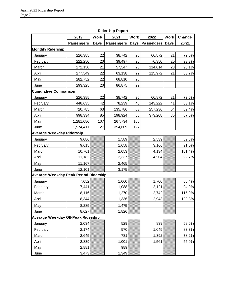|                                       |                   |             | Ridership Report  |             |                   |      |        |
|---------------------------------------|-------------------|-------------|-------------------|-------------|-------------------|------|--------|
|                                       | 2019              | <b>Work</b> | 2021              | <b>Work</b> | 2022              | Work | Change |
|                                       | <b>Passengers</b> | <b>Days</b> | <b>Passengers</b> | Days        | <b>Passengers</b> | Days | 20/21  |
| <b>Monthly Ridership</b>              |                   |             |                   |             |                   |      |        |
| January                               | 226,385           | 22          | 38,742            | 20          | 66,872            | 21   | 72.6%  |
| February                              | 222,250           | 20          | 39,497            | 20          | 76,350            | 20   | 93.3%  |
| March                                 | 272,150           | 21          | 57,547            | 23          | 114,014           | 23   | 98.1%  |
| April                                 | 277,549           | 22          | 63,138            | 22          | 115,972           | 21   | 83.7%  |
| May                                   | 282,752           | 22          | 68,810            | 20          |                   |      |        |
| June                                  | 293,325           | 20          | 86,875            | 22          |                   |      |        |
| <b>Cumulative Comparison</b>          |                   |             |                   |             |                   |      |        |
| January                               | 226,385           | 22          | 38,742            | 20          | 66,872            | 21   | 72.6%  |
| February                              | 448,635           | 42          | 78,239            | 40          | 143,222           | 41   | 83.1%  |
| March                                 | 720,785           | 63          | 135,786           | 63          | 257,236           | 64   | 89.4%  |
| April                                 | 998,334           | 85          | 198,924           | 85          | 373,208           | 85   | 87.6%  |
| May                                   | 1,281,086         | 107         | 267,734           | 105         |                   |      |        |
| June                                  | 1,574,411         | 127         | 354,609           | 127         |                   |      |        |
| Average Weekday Ridership             |                   |             |                   |             |                   |      |        |
| January                               | 9,086             |             | 1,589             |             | 2,539             |      | 59.8%  |
| February                              | 9,615             |             | 1,658             |             | 3,166             |      | 91.0%  |
| March                                 | 10,761            |             | 2,053             |             | 4,134             |      | 101.4% |
| April                                 | 11,182            |             | 2,337             |             | 4,504             |      | 92.7%  |
| May                                   | 11,167            |             | 2,465             |             |                   |      |        |
| June                                  | 12,101            |             | 3,175             |             |                   |      |        |
| Average Weekday Peak Period Ridership |                   |             |                   |             |                   |      |        |
| January                               | 7,052             |             | 1,060             |             | 1,700             |      | 60.4%  |
| February                              | 7,441             |             | 1,088             |             | 2,121             |      | 94.9%  |
| March                                 | 8,116             |             | 1,270             |             | 2,742             |      | 115.9% |
| April                                 | 8,344             |             | 1,336             |             | 2,943             |      | 120.3% |
| May                                   | 8,285             |             | 1,475             |             |                   |      |        |
| June                                  | 8,627             |             | 1,826             |             |                   |      |        |
| Average Weekday Off-Peak Ridership    |                   |             |                   |             |                   |      |        |
| January                               | 2,034             |             | 529               |             | 839               |      | 58.6%  |
| February                              | 2,174             |             | 570               |             | 1,045             |      | 83.3%  |
| March                                 | 2,645             |             | 781               |             | 1,392             |      | 78.2%  |
| April                                 | 2,839             |             | 1,001             |             | 1,561             |      | 55.9%  |
| May                                   | 2,881             |             | 989               |             |                   |      |        |
| June                                  | 3,473             |             | 1,349             |             |                   |      |        |

**Ridership Report**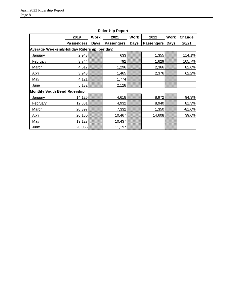|                                             | 2019              | Work | 2021       | <b>Work</b> | 2022              | <b>Work</b> | Change   |  |  |
|---------------------------------------------|-------------------|------|------------|-------------|-------------------|-------------|----------|--|--|
|                                             | <b>Passengers</b> | Days | Passengers | <b>Days</b> | <b>Passengers</b> | <b>Days</b> | 20/21    |  |  |
| Average Weekend/Holiday Ridership (per day) |                   |      |            |             |                   |             |          |  |  |
| January                                     | 2,943             |      | 633        |             | 1,355             |             | 114.1%   |  |  |
| February                                    | 3,744             |      | 792        |             | 1,629             |             | 105.7%   |  |  |
| March                                       | 4,617             |      | 1,296      |             | 2,366             |             | 82.6%    |  |  |
| April                                       | 3,943             |      | 1,465      |             | 2,376             |             | 62.2%    |  |  |
| May                                         | 4,121             |      | 1,774      |             |                   |             |          |  |  |
| June                                        | 5,132             |      | 2,128      |             |                   |             |          |  |  |
| <b>Monthly South Bend Ridership</b>         |                   |      |            |             |                   |             |          |  |  |
| January                                     | 14,125            |      | 4,618      |             | 8,972             |             | 94.3%    |  |  |
| February                                    | 12,881            |      | 4,932      |             | 8,940             |             | 81.3%    |  |  |
| March                                       | 20,397            |      | 7,332      |             | 1,350             |             | $-81.6%$ |  |  |
| April                                       | 20,180            |      | 10,467     |             | 14,608            |             | 39.6%    |  |  |
| May                                         | 19,127            |      | 10,437     |             |                   |             |          |  |  |
| June                                        | 20,088            |      | 11,197     |             |                   |             |          |  |  |

**Ridership Report**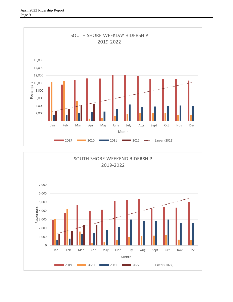

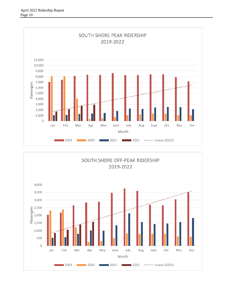

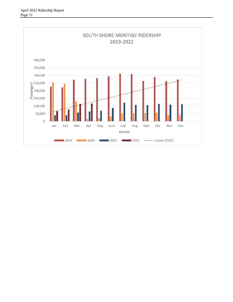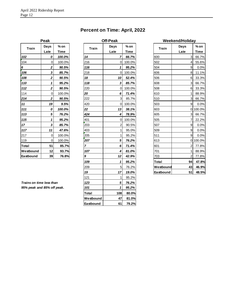| Percent on Time: April, 2022 |  |  |  |
|------------------------------|--|--|--|
|------------------------------|--|--|--|

| Peak      |                |        |  |  |  |  |  |  |
|-----------|----------------|--------|--|--|--|--|--|--|
| Train     | Days           | % on   |  |  |  |  |  |  |
|           | Late           | Time   |  |  |  |  |  |  |
| 102       | 0              | 100.0% |  |  |  |  |  |  |
| 104       | $\overline{0}$ | 100.0% |  |  |  |  |  |  |
| 6         | $\overline{2}$ | 90.5%  |  |  |  |  |  |  |
| 106       | 3              | 85.7%  |  |  |  |  |  |  |
| 108       | 2              | 90.5%  |  |  |  |  |  |  |
| 110       | 1              | 95.2%  |  |  |  |  |  |  |
| 112       | 2              | 90.5%  |  |  |  |  |  |  |
| 114       | 0              | 100.0% |  |  |  |  |  |  |
| 214       | 2              | 90.5%  |  |  |  |  |  |  |
| 11        | 19             | 9.5%   |  |  |  |  |  |  |
| 111       | 0              | 100.0% |  |  |  |  |  |  |
| 113       | 5              | 76.2%  |  |  |  |  |  |  |
| 115       | 1              | 95.2%  |  |  |  |  |  |  |
| 17        | 3              | 85.7%  |  |  |  |  |  |  |
| 117       | 11             | 47.6%  |  |  |  |  |  |  |
| 217       | 0              | 100.0% |  |  |  |  |  |  |
| 119       | 0              | 100.0% |  |  |  |  |  |  |
| Total     | 51             | 85.7%  |  |  |  |  |  |  |
| Westbound | 12             | 93.7%  |  |  |  |  |  |  |
| Eastbound | 39             | 76.8%  |  |  |  |  |  |  |

| <b>Train</b>               | Days                      | $%$ on      | <b>Train</b>            | Days           | $%$ on      | <b>Train</b> | Days           | $%$ on      |
|----------------------------|---------------------------|-------------|-------------------------|----------------|-------------|--------------|----------------|-------------|
|                            | Late                      | <b>Time</b> |                         | Late           | <b>Time</b> |              | Late           | <b>Time</b> |
| 102                        | 0                         | 100.0%      | 14                      | 7              | 66.7%       | 600          | 3              | 66.7%       |
| 104                        | 0                         | 100.0%      | 216                     | 0              | 100.0%      | 502          | 4              | 55.6%       |
| 6                          | 2                         | 90.5%       | 116                     | 1              | 95.2%       | 504          | 9              | 0.0%        |
| 106                        | $\mathbf 3$               | 85.7%       | 218                     | 0              | 100.0%      | 606          | 8              | 11.1%       |
| 108                        | 2                         | 90.5%       | 18                      | 10             | 52.4%       | 506          | 6              | 33.3%       |
| 110                        | $\mathbf{1}$              | 95.2%       | 118                     | 3              | 85.7%       | 608          | 3              | 66.7%       |
| 112                        | $\boldsymbol{2}$          | 90.5%       | 220                     | 0              | 100.0%      | 508          | 6              | 33.3%       |
| 114                        | 0                         | 100.0%      | 20                      | 6              | 71.4%       | 610          | $\mathbf{1}$   | 88.9%       |
| 214                        | $\boldsymbol{2}$          | 90.5%       | 222                     | 3              | 85.7%       | 510          | $\mathbf{3}$   | 66.7%       |
| 11                         | 19                        | 9.5%        | 420                     | 0              | 100.0%      | 503          | $\overline{9}$ | 0.0%        |
| 111                        | 0                         | 100.0%      | 22                      | 13             | 38.1%       | 603          |                | 0 100.0%    |
| 113                        | 5                         | 76.2%       | 424                     | 4              | 78.9%       | 605          | $\mathbf{3}$   | 66.7%       |
| 115                        | 1                         | 95.2%       | 401                     | 0              | 100.0%      | 505          | 7              | 22.2%       |
| $17 \,$                    | $\boldsymbol{\mathsf{3}}$ | 85.7%       | 203                     | $\overline{c}$ | 90.5%       | 507          | 9              | 0.0%        |
| 117                        | 11                        | 47.6%       | 403                     | 1              | 95.0%       | 509          | 9              | 0.0%        |
| 217                        | 0                         | 100.0%      | 205                     | 1              | 95.2%       | 511          | 9              | 0.0%        |
| 119                        | $\mathbf 0$               | 100.0%      | 207                     | 5              | 76.2%       | 613          |                | 0 100.0%    |
| Total                      | 51                        | 85.7%       | $\overline{\mathbf{z}}$ | 6              | 71.4%       | 601          | $\overline{2}$ | 77.8%       |
| Westbound                  | 12                        | 93.7%       | 107                     | 4              | 81.0%       | 701          |                | 88.9%       |
| Eastbound                  | 39                        | 76.8%       | 9                       | 12             | 42.9%       | 703          | $\overline{2}$ | 77.8%       |
|                            |                           |             | 109                     | 1              | 95.2%       | Total        | 94             | 47.8%       |
|                            |                           |             | 209                     | 5              | 76.2%       | Westbound    | 43             | 46.9%       |
|                            |                           |             | 19                      | 17             | 19.0%       | Eastbound    | 51             | 48.5%       |
|                            |                           |             | 121                     | $\mathbf{1}$   | 95.2%       |              |                |             |
| Trains on time less than   |                           |             | 123                     | $\sqrt{5}$     | 76.2%       |              |                |             |
| 95% peak and 85% off peak. |                           |             | 101                     | 1              | 95.2%       |              |                |             |
|                            |                           |             | Total                   | 108            | 80.0%       |              |                |             |
|                            |                           |             | Westbound               | 47             | 81.0%       |              |                |             |
|                            |                           |             | Eastbound               | 61             | 79.2%       |              |                |             |

# *109 1 95.2%* **Total 94 47.8%** 209 5 76.2% **Westbound 43 46.9%** *19 17 19.0%* **Eastbound 51 48.5% Off-Peak Weekend/Holiday**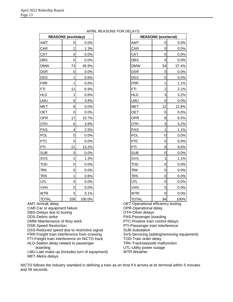|              | <b>REASONS (weekday)</b> |        | <b>REASONS (weekend)</b> |                |       |
|--------------|--------------------------|--------|--------------------------|----------------|-------|
| <b>AMT</b>   | 0                        | 0.0%   | <b>AMT</b>               | 0              | 0.0%  |
| <b>CAR</b>   | $\overline{2}$           | 1.3%   | CAR                      | $\mathbf 0$    | 0.0%  |
| <b>CAT</b>   | $\mathbf 0$              | 0.0%   | CAT                      | $\mathbf 0$    | 0.0%  |
| <b>DBS</b>   | 0                        | 0.0%   | <b>DBS</b>               | $\mathbf 0$    | 0.0%  |
| <b>DMW</b>   | 73                       | 45.9%  | <b>DMW</b>               | 54             | 57.4% |
| <b>DSR</b>   | 0                        | 0.0%   | <b>DSR</b>               | 0              | 0.0%  |
| DSS          | 1                        | 0.6%   | <b>DSS</b>               | 0              | 0.0%  |
| FRR          | 1                        | 0.6%   | <b>FRR</b>               | 1              | 1.1%  |
| FTI          | 11                       | 6.9%   | <b>FTI</b>               | $\overline{c}$ | 2.1%  |
| <b>HLD</b>   | 1                        | 0.6%   | <b>HLD</b>               | 3              | 3.2%  |
| LMU          | 6                        | 3.8%   | LMU                      | $\mathbf 0$    | 0.0%  |
| <b>MET</b>   | 8                        | 5.0%   | <b>MET</b>               | 12             | 12.8% |
| <b>OET</b>   | $\mathbf 0$              | 0.0%   | <b>OET</b>               | $\mathbf 0$    | 0.0%  |
| <b>OPR</b>   | 17                       | 10.7%  | <b>OPR</b>               | 8              | 8.5%  |
| OTH          | 6                        | 3.8%   | OTH                      | 3              | 3.2%  |
| PAS          | $\overline{\mathbf{4}}$  | 2.5%   | <b>PAS</b>               | 1              | 1.1%  |
| POL          | $\mathbf 0$              | 0.0%   | POL                      | $\mathbf 0$    | 0.0%  |
| PTC          | $\mathbf 0$              | 0.0%   | <b>PTC</b>               | $\mathbf 0$    | 0.0%  |
| PTI          | 21                       | 13.2%  | PTI                      | 9              | 9.6%  |
| <b>SUB</b>   | 0                        | 0.0%   | <b>SUB</b>               | $\mathbf 0$    | 0.0%  |
| <b>SVS</b>   | $\overline{c}$           | 1.3%   | SVS                      | 1              | 1.1%  |
| <b>TOD</b>   | $\mathbf 0$              | 0.0%   | TOD                      | $\mathbf 0$    | 0.0%  |
| <b>TRK</b>   | 0                        | 0.0%   | <b>TRK</b>               | 0              | 0.0%  |
| <b>TRS</b>   | 1                        | 0.6%   | <b>TRS</b>               | $\mathbf 0$    | 0.0%  |
| <b>UTL</b>   | $\mathbf 0$              | 0.0%   | UTL                      | $\mathbf 0$    | 0.0%  |
| <b>VAN</b>   | 0                        | 0.0%   | VAN                      | $\mathbf 0$    | 0.0%  |
| <b>WTR</b>   | 5                        | 3.1%   | <b>WTR</b>               | $\mathbf 0$    | 0.0%  |
| <b>TOTAL</b> | 159                      | 100.0% | <b>TOTAL</b>             | 94             | 100%  |
|              |                          |        |                          | $\cdots$       |       |

#### APRIL REASONS FOR DELAYS

OET-Operational efficiency testing OPR-Operational delay OTH-Other delays PAS-Passenger boarding PTC-Positive train control delays PTI-Passenger train interference SUB-Substation SVS-Servicing (adding/removing equipment) TOD-Train order delay TRK-Track/wayside malfunction UTL-Utility power outage WTR-Weather DSR 0 0.0% DSR 0 0.0% DSS 1 0.6% DSS 0 0.0% FRR | 1 0.6% FRR 1 1.1% FTI 11 6.9% FTI 2 2.1% HLD | 1 0.6% HLD | 3 3.2% LMU 6 3.8% LMU 0 0.0% MET 8 5.0% MET 12 12.8% OET | 0| 0.0% | |OET | 0| 0.0% OPR | 17 10.7% OPR | 8 8.5% OTH 6 3.8% OTH 3 3.2% PAS 4 2.5% PAS 1 1.1% POL | 0| 0.0% | POL | 0| 0.0% PTC | 0| 0.0% PTC | 0| 0.0% PTI | 21 13.2% PTI 9 9.6% SUB | 0| 0.0% | SUB | 0| 0.0% SVS | 2 | 1.3% | |SVS 1 | 1.1% TOD | 0| 0.0% | 00| 0.0% | 0| 0.0% TRK | 0| 0.0% | 1TRK | 0| 0.0% TRS | 1| 0.6% | TRS | 0| 0.0% UTL 0 0.0% UTL 0 0.0% VAN 0 0.0% VAN 0 0.0% WTR  $|$  5 3.1% WTR 0 0.0% TOTAL 159 100.0% TOTAL 94 100%

AMT-Amtrak delay CAR-Car or equipment failure

DBS-Delays due to busing

DDS-Debris strike

DMW-Maintenance of Way work

DSR-Speed Restriction

DSS-Reduced speed due to restrictive signal FRR-Freight train interference from crossing

FTI-Freight train interference on NICTD track

HLD-Station delay related to passenger

boarding

LMU-Late make up (includes turn of equipment) MET-Metra delays

NICTD follows the industry standard in defining a train as on time if it arrives at its terminal within 5 minutes and 59 seconds.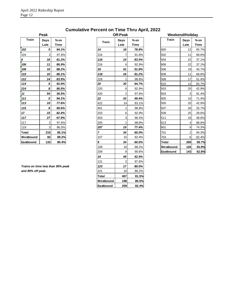|              | Peak           |       |
|--------------|----------------|-------|
| <b>Train</b> | Days           | % on  |
|              | Late           | Time  |
| 102          | 5              | 94.1% |
| 104          | 2              | 97.6% |
| 6            | 16             | 81.2% |
| 106          | 11             | 86.9% |
| 108          | 10             | 88.2% |
| 110          | 10             | 88.1% |
| 112          | 14             | 83.5% |
| 114          | 6              | 92.9% |
| 214          | 8              | 90.5% |
| 11           | 54             | 36.5% |
| 111          | 5              | 94.1% |
| 113          | 19             | 77.6% |
| 115          | 8              | 90.6% |
| 17           | 15             | 82.4% |
| 117          | 27             | 67.9% |
| 217          | $\overline{c}$ | 97.6% |
| 119          | 3              | 96.5% |
| Total        | 215            | 85.1% |
| Westbound    | 82             | 89.2% |
| Eastbound    | 133            | 80.4% |

**Cumulative Percent on Time Thru April, 2022**

|                                   | Peak         |                       |
|-----------------------------------|--------------|-----------------------|
| <b>Train</b>                      | Days<br>Late | $%$ on<br><b>Time</b> |
| 102                               | 5            | 94.1%                 |
| 104                               | 2            | 97.6%                 |
| 6                                 | 16           | 81.2%                 |
| 106                               | 11           | 86.9%                 |
| 108                               | 10           | 88.2%                 |
| 110                               | 10           | 88.1%                 |
| 112                               | 14           | 83.5%                 |
| 114                               | 6            | 92.9%                 |
| <u> 214</u>                       | 8            | 90.5%                 |
| $\overline{11}$                   | 54           | 36.5%                 |
| 111                               | 5            | 94.1%                 |
| 113                               | 19           | 77.6%                 |
| 115                               | 8            | 90.6%                 |
| $17 \overline{ }$                 | 15           | 82.4%                 |
| 117                               | 27           | 67.9%                 |
| <u> 217</u>                       | 2            | 97.6%                 |
| 119                               | 3            | 96.5%                 |
| Total                             | 215          | 85.1%                 |
| Westbound                         | 82           | 89.2%                 |
| Eastbound                         | 133          | 80.4%                 |
|                                   |              |                       |
|                                   |              |                       |
|                                   |              |                       |
|                                   |              |                       |
| Trains on time less than 95% peak |              |                       |
| and 85% off peak.                 |              |                       |
|                                   |              |                       |
|                                   |              |                       |
|                                   |              |                       |

|                | Off-Peak       |        |              | Weekend/Holiday |             |
|----------------|----------------|--------|--------------|-----------------|-------------|
| <b>Train</b>   | Days           | $%$ on | <b>Train</b> | Days            | $%$ on      |
|                | Late           | Time   |              | Late            | <b>Time</b> |
| 14             | 18             | 78.8%  | 600          | 12              | 65.7%       |
| 216            | 7              | 91.8%  | 502          | 11              | 68.6%       |
| 116            | 14             | 83.5%  | 504          | 22              | 37.1%       |
| <u> 216</u>    | 6              | 92.9%  | 606          | 22              | 37.1%       |
| <u>18</u>      | 41             | 51.8%  | 506          | 19              | 45.7%       |
| 118            | 16             | 81.2%  | 608          | 11              | 68.6%       |
| 218            | 1              | 98.8%  | 508          | 17              | 51.4%       |
| <u>20</u>      | 30             | 64.7%  | 610          | 12              | 65.7%       |
| 220            | 6              | 92.9%  | 503          | 20              | 42.9%       |
| 420            | $\overline{2}$ | 97.6%  | 603          | 3               | 91.4%       |
| 22             | 43             | 49.4%  | 605          | 10              | 71.4%       |
| 422            | 14             | 83.1%  | 505          | 20              | 42.9%       |
| 401            | 1              | 98.8%  | 507          | 26              | 25.7%       |
| 203            | 6              | 92.9%  | 509          | 25              | 28.6%       |
| 403            | 3              | 96.4%  | 511          | 18              | 48.6%       |
| 205            | 1              | 98.8%  | 613          | 4               | 88.6%       |
| 207            | 19             | 77.4%  | 601          | 9               | 74.3%       |
| $\overline{7}$ | 34             | 60.0%  | 701          | 2               | 94.3%       |
| 107            | 15             | 82.4%  | 703          | 6               | 82.4%       |
| <u>9</u>       | 34             | 60.0%  | Total        | 269             | 59.7%       |
| 109            | 10             | 88.2%  | Westbound    | 126             | 55.9%       |
| 209            | 8              | 90.6%  | Eastbound    | 143             | 62.8%       |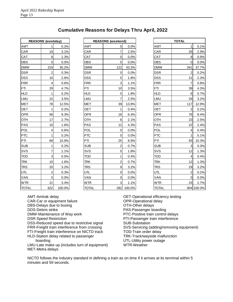|              | <b>REASONS (weekday)</b> |        |            | <b>REASONS</b> (weekend) |   |
|--------------|--------------------------|--------|------------|--------------------------|---|
| AMT          | 1                        | 0.2%   | AMT        | 0                        |   |
| CAR          | 19                       | 3.1%   | CAR        | 7                        |   |
| CAT          | 8                        | 1.3%   | CAT        | 0                        |   |
| DBS          | 0                        | 0.0%   | DBS        | 0                        |   |
| <b>DMW</b>   | 219                      | 35.2%  | <b>DMW</b> | 122                      |   |
| <b>DSR</b>   | 2                        | 0.3%   | <b>DSR</b> | 0                        |   |
| <b>DSS</b>   | 16                       | 2.6%   | <b>DSS</b> | 5                        |   |
| <b>FRR</b>   | 4                        | 0.6%   | <b>FRR</b> | 3                        |   |
| <b>FTI</b>   | 29                       | 4.7%   | FTI        | 10                       |   |
| <b>HLD</b>   | 1                        | 0.2%   | <b>HLD</b> | 5                        |   |
| LMU          | 22                       | 3.5%   | LMU        | 7                        |   |
| <b>MET</b>   | 78                       | 12.5%  | <b>MET</b> | 39                       |   |
| OET          | 1                        | 0.2%   | <b>OET</b> | 1                        |   |
| OPR          | 58                       | 9.3%   | <b>OPR</b> | 18                       |   |
| OTH          | 17                       | 2.7%   | OTH        | 6                        |   |
| <b>PAS</b>   | 10                       | 1.6%   | <b>PAS</b> | 12                       |   |
| <b>POL</b>   | 4                        | 0.6%   | POL        | 0                        |   |
| <b>PTC</b>   | 1                        | 0.2%   | <b>PTC</b> | 0                        |   |
| PTI          | 68                       | 10.9%  | PTI        | 25                       |   |
| <b>SUB</b>   | 1                        | 0.2%   | <b>SUB</b> | $\overline{2}$           |   |
| SVS          | $\overline{7}$           | 1.1%   | SVS        | 5                        |   |
| <b>TOD</b>   | 3                        | 0.5%   | <b>TOD</b> | 1                        |   |
| <b>TRK</b>   | 10                       | 1.6%   | <b>TRK</b> | $\overline{2}$           |   |
| <b>TRS</b>   | 20                       | 3.2%   | TRS        | 9                        |   |
| <b>UTL</b>   | $\overline{2}$           | 0.3%   | UTL        | 0                        |   |
| VAN          | 0                        | 0.0%   | VAN        | 0                        |   |
| <b>WTR</b>   | 21                       | 3.4%   | <b>WTR</b> | 3                        |   |
| <b>TOTAL</b> | 622                      | 100.0% | TOTAL      | 282                      | 1 |

#### **Cumulative Reasons for Delays Thru April, 2022**

|              | <b>REASONS (weekday)</b> |         |              | <b>REASONS (weekend)</b> |       |              | <b>TOTAL</b>   |            |
|--------------|--------------------------|---------|--------------|--------------------------|-------|--------------|----------------|------------|
| AMT          | 1                        | 0.2%    | <b>AMT</b>   | 0                        | 0.0%  | AMT          |                | 0.1%       |
| CAR          | 19                       | 3.1%    | CAR          | 7                        | 2.5%  | CAR          | 26             | 2.9%       |
| CAT          | 8                        | 1.3%    | CAT          | 0                        | 0.0%  | CAT          | 8              | 0.9%       |
| DBS          | $\pmb{0}$                | 0.0%    | <b>DBS</b>   | 0                        | 0.0%  | <b>DBS</b>   | $\Omega$       | 0.0%       |
| <b>DMW</b>   | 219                      | 35.2%   | <b>DMW</b>   | 122                      | 43.3% | <b>DMW</b>   | 341            | 37.7%      |
| <b>DSR</b>   | $\overline{\mathbf{c}}$  | 0.3%    | <b>DSR</b>   | $\pmb{0}$                | 0.0%  | <b>DSR</b>   | $\overline{2}$ | 0.2%       |
| DSS          | 16                       | 2.6%    | <b>DSS</b>   | 5                        | 1.8%  | <b>DSS</b>   | 21             | 2.3%       |
| <b>FRR</b>   | 4                        | 0.6%    | <b>FRR</b>   | 3                        | 1.1%  | <b>FRR</b>   | 7              | 0.8%       |
| FTI          | 29                       | 4.7%    | FTI          | 10                       | 3.5%  | <b>FTI</b>   | 39             | 4.3%       |
| <b>HLD</b>   | 1                        | 0.2%    | <b>HLD</b>   | 5                        | 1.8%  | <b>HLD</b>   | 6              | 0.7%       |
| LMU          | 22                       | 3.5%    | LMU          | $\overline{7}$           | 2.5%  | LMU          | 29             | 3.2%       |
| MET          | 78                       | 12.5%   | <b>MET</b>   | 39                       | 13.8% | <b>MET</b>   | 117            | 12.9%      |
| OET          | 1                        | 0.2%    | <b>OET</b>   | 1                        | 0.4%  | <b>OET</b>   | 2              | 0.2%       |
| OPR          | 58                       | 9.3%    | <b>OPR</b>   | 18                       | 6.4%  | <b>OPR</b>   | 76             | 8.4%       |
| OTH          | 17                       | 2.7%    | OTH          | 6                        | 2.1%  | OTH          | 23             | 2.5%       |
| PAS          | 10                       | 1.6%    | PAS          | 12                       | 4.3%  | PAS          | 22             | 2.4%       |
| POL          | $\overline{\mathbf{4}}$  | 0.6%    | <b>POL</b>   | $\mathbf 0$              | 0.0%  | <b>POL</b>   | $\overline{4}$ | 0.4%       |
| <b>PTC</b>   | $\mathbf{1}$             | 0.2%    | <b>PTC</b>   | $\mathbf 0$              | 0.0%  | <b>PTC</b>   | 1              | 0.1%       |
| PTI          | 68                       | 10.9%   | PTI          | 25                       | 8.9%  | PTI          | 93             | 10.3%      |
| SUB          | 1                        | 0.2%    | <b>SUB</b>   | $\overline{c}$           | 0.7%  | <b>SUB</b>   | 3              | 0.3%       |
| SVS          | 7                        | 1.1%    | SVS          | 5                        | 1.8%  | SVS          | 12             | 1.3%       |
| TOD          | 3                        | 0.5%    | <b>TOD</b>   | 1                        | 0.4%  | <b>TOD</b>   | $\overline{4}$ | 0.4%       |
| <b>TRK</b>   | 10                       | 1.6%    | <b>TRK</b>   | $\overline{2}$           | 0.7%  | <b>TRK</b>   | 12             | 1.3%       |
| TRS          | 20                       | 3.2%    | TRS          | 9                        | 3.2%  | <b>TRS</b>   | 29             | 3.2%       |
| UTL          | $\overline{\mathbf{c}}$  | 0.3%    | <b>UTL</b>   | 0                        | 0.0%  | UTL          | $\overline{2}$ | 0.2%       |
| VAN          | $\mathbf 0$              | 0.0%    | VAN          | $\mathbf 0$              | 0.0%  | VAN          | $\Omega$       | 0.0%       |
| WTR          | 21                       | 3.4%    | <b>WTR</b>   | 3                        | 1.1%  | <b>WTR</b>   | 24             | 2.7%       |
| <b>TOTAL</b> | <b>GOO</b>               | 100.004 | <b>TOTAL</b> | າຂາ                      | 10000 | <b>TOTAL</b> |                | 0.01110000 |

| <b>REASONS (weekday)</b> |                |        |              | <b>REASONS (weekend)</b> |        |              | <b>TOTAL</b>   |            |
|--------------------------|----------------|--------|--------------|--------------------------|--------|--------------|----------------|------------|
| AMT                      | 1              | 0.2%   | AMT          | 0                        | 0.0%   | AMT          |                | 0.1%       |
| CAR                      | 19             | 3.1%   | CAR          | 7                        | 2.5%   | CAR          | 26             | 2.9%       |
| CAT                      | 8              | 1.3%   | <b>CAT</b>   | $\overline{O}$           | 0.0%   | CAT          | 8              | 0.9%       |
| DBS                      | $\mathbf 0$    | 0.0%   | <b>DBS</b>   | $\overline{O}$           | 0.0%   | <b>DBS</b>   | $\Omega$       | 0.0%       |
| <b>DMW</b>               | 219            | 35.2%  | <b>DMW</b>   | 122                      | 43.3%  | <b>DMW</b>   | 341            | 37.7%      |
| DSR                      | $\overline{2}$ | 0.3%   | <b>DSR</b>   | $\mathbf 0$              | 0.0%   | <b>DSR</b>   | $\overline{2}$ | 0.2%       |
| DSS                      | 16             | 2.6%   | <b>DSS</b>   | 5                        | 1.8%   | <b>DSS</b>   | 21             | 2.3%       |
| FRR                      | 4              | 0.6%   | <b>FRR</b>   | 3                        | 1.1%   | <b>FRR</b>   | $\overline{7}$ | 0.8%       |
| FTI                      | 29             | 4.7%   | FTI          | 10                       | 3.5%   | <b>FTI</b>   | 39             | 4.3%       |
| <b>HLD</b>               | $\mathbf{1}$   | 0.2%   | <b>HLD</b>   | 5                        | 1.8%   | <b>HLD</b>   | $\,6$          | 0.7%       |
| LMU                      | 22             | 3.5%   | LMU          | $\overline{7}$           | 2.5%   | LMU          | 29             | 3.2%       |
| MET                      | 78             | 12.5%  | <b>MET</b>   | 39                       | 13.8%  | <b>MET</b>   | 117            | 12.9%      |
| <b>OET</b>               | 1              | 0.2%   | OET          | 1                        | 0.4%   | <b>OET</b>   | $\overline{2}$ | 0.2%       |
| OPR                      | 58             | 9.3%   | <b>OPR</b>   | 18                       | 6.4%   | <b>OPR</b>   | 76             | 8.4%       |
| OTH                      | 17             | 2.7%   | <b>OTH</b>   | 6                        | 2.1%   | OTH          | 23             | 2.5%       |
| PAS                      | 10             | 1.6%   | <b>PAS</b>   | 12                       | 4.3%   | <b>PAS</b>   | 22             | 2.4%       |
| <b>POL</b>               | 4              | 0.6%   | POL          | $\overline{O}$           | 0.0%   | POL          | $\overline{4}$ | 0.4%       |
| <b>PTC</b>               | 1              | 0.2%   | <b>PTC</b>   | $\pmb{0}$                | 0.0%   | <b>PTC</b>   | 1              | 0.1%       |
| PTI                      | 68             | 10.9%  | PTI          | 25                       | 8.9%   | PTI          | 93             | 10.3%      |
| SUB                      | 1              | 0.2%   | <b>SUB</b>   | 2                        | 0.7%   | <b>SUB</b>   | 3              | 0.3%       |
| SVS                      | 7              | 1.1%   | SVS          | 5                        | 1.8%   | SVS          | 12             | 1.3%       |
| TOD                      | $\mathbf{3}$   | 0.5%   | <b>TOD</b>   | 1                        | 0.4%   | <b>TOD</b>   | $\overline{4}$ | 0.4%       |
| <b>TRK</b>               | 10             | 1.6%   | <b>TRK</b>   | $\overline{a}$           | 0.7%   | <b>TRK</b>   | 12             | 1.3%       |
| <b>TRS</b>               | 20             | 3.2%   | <b>TRS</b>   | $\mathsf g$              | 3.2%   | <b>TRS</b>   | 29             | 3.2%       |
| UTL                      | $\mathbf 2$    | 0.3%   | UTL          | $\mathsf{O}\xspace$      | 0.0%   | UTL          | $\overline{2}$ | 0.2%       |
| VAN                      | $\mathbf 0$    | 0.0%   | <b>VAN</b>   | 0                        | 0.0%   | VAN          | 0              | 0.0%       |
| <b>WTR</b>               | 21             | 3.4%   | <b>WTR</b>   | 3                        | 1.1%   | <b>WTR</b>   | 24             | 2.7%       |
| <b>TOTAL</b>             | 622            | 100.0% | <b>TOTAL</b> | 282                      | 100.0% | <b>TOTAL</b> |                | 904 100.0% |

AMT-Amtrak delay CAR-Car or equipment failure DBS-Delays due to busing DDS-Debris strike DMW-Maintenance of Way work DSR-Speed Restriction DSS-Reduced speed due to restrictive signal FRR-Freight train interference from crossing FTI-Freight train interference on NICTD track HLD-Station delay related to passenger boarding

LMU-Late make up (includes turn of equipment) MET-Metra delays

OET-Operational efficiency testing OPR-Operational delay OTH-Other delays PAS-Passenger boarding PTC-Positive train control delays PTI-Passenger train interference SUB-Substation SVS-Servicing (adding/removing equipment) TOD-Train order delay TRK-Track/wayside malfunction UTL-Utility power outage WTR-Weather

NICTD follows the industry standard in defining a train as on time if it arrives at its terminal within 5 minutes and 59 seconds.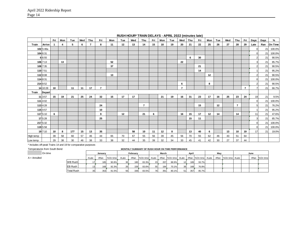|           |               | Fri | Mon | Tue | Wed | Thu | Fri            | Mon | Tue | Wed | Thu            | Fri | Mon | Tue | Wed            | Thu | Fri | Mon | Tue | Wed | Thu            | Fri            | Days | Days | %       |
|-----------|---------------|-----|-----|-----|-----|-----|----------------|-----|-----|-----|----------------|-----|-----|-----|----------------|-----|-----|-----|-----|-----|----------------|----------------|------|------|---------|
| Train     | Arrive        |     | 4   | 5   | 6   | 7   | 8              | 11  | 12  | 13  | 14             | 15  | 18  | 19  | 20             | 21  | 22  | 25  | 26  | 27  | 28             | 29             | Late | Ran  | On Time |
|           | 102 5:48a     |     |     |     |     |     |                |     |     |     |                |     |     |     |                |     |     |     |     |     |                |                |      | 21   | 100.0%  |
|           | 104 6:31      |     |     |     |     |     |                |     |     |     |                |     |     |     |                |     |     |     |     |     |                |                |      | 21   | 100.0%  |
|           | 6 6:55        |     |     |     |     |     |                |     |     |     |                |     |     |     |                | 6   | 30  |     |     |     |                |                |      | 21   | 90.5%   |
|           | 106 7:13      |     | 13  |     |     |     |                | 52  |     |     |                |     |     |     | 22             |     |     |     |     |     |                |                |      | 21   | 85.7%   |
|           | 108 7:35      |     |     |     |     |     |                | 37  |     |     |                |     |     |     |                |     | 21  |     |     |     |                |                |      | 21   | 90.5%   |
|           | 110 7:51      |     |     |     |     |     |                |     |     |     |                |     |     |     |                |     | 14  |     |     |     |                |                |      | 21   | 95.2%   |
|           | 112 8:08      |     |     |     |     |     |                | 13  |     |     |                |     |     |     |                |     |     | 12  |     |     |                |                |      | 21   | 90.5%   |
|           | 114 8:31      |     |     |     |     |     |                |     |     |     |                |     |     |     |                |     |     |     |     |     |                |                |      | 21   | 100.0%  |
|           | 214 8:52      |     |     |     |     |     |                |     |     |     |                |     |     |     | 6              |     |     | 8   |     |     |                |                |      | 21   | 90.5%   |
|           | 14 10:28      | 10  |     | 11  | 11  | 17  | $\overline{7}$ |     |     |     |                |     |     |     | $\overline{7}$ |     |     |     |     |     |                | $\overline{7}$ |      | 21   | 66.7%   |
| Train     | <b>Depart</b> |     |     |     |     |     |                |     |     |     |                |     |     |     |                |     |     |     |     |     |                |                |      |      |         |
|           | 11 3:57       | 15  | 19  | 21  | 25  | 24  | 32             | 15  | 17  | 17  |                |     | 21  | 19  | 16             | 31  | 23  | 17  | 16  | 25  | 23             | 24             | 19   | 21   | 9.5%    |
|           | 111 4:02      |     |     |     |     |     |                |     |     |     |                |     |     |     |                |     |     |     |     |     |                |                |      | 21   | 100.0%  |
|           | 113 4:28      |     |     |     |     |     | 24             |     |     |     | $\overline{7}$ |     |     |     |                |     | 15  |     | 12  |     | $\overline{7}$ |                |      | 21   | 76.2%   |
|           | 115 4:57      |     |     |     |     |     | 10             |     |     |     |                |     |     |     |                |     |     |     |     |     |                |                |      | 21   | 95.2%   |
|           | 117 5:10      | 6   |     |     |     |     | 9              |     | 12  |     | 21             | 6   |     |     | 16             | 15  | 17  | 12  | 14  |     | 14             |                | 11   | 21   | 47.6%   |
|           | 17 5:28       |     |     |     |     |     | 25             |     |     |     |                |     |     |     |                | 15  | 11  |     |     |     |                |                |      | 21   | 85.7%   |
|           | 217 5:32      |     |     |     |     |     |                |     |     |     |                |     |     |     |                |     |     |     |     |     |                |                |      | 21   | 100.0%  |
|           | 119 5:58      |     |     |     |     |     |                |     |     |     |                |     |     |     |                |     |     |     |     |     |                |                |      | 21   | 100.0%  |
|           | 19 7:10       | 10  | 8   | 177 | 15  | 13  | 35             |     |     | 58  | 10             | 11  | 12  | 8   |                | 13  | 40  | 6   |     | 13  | 10             | 19             | 17   | 21   | 19.0%   |
| High temp |               | 39  | 58  | 60  | 57  | 46  | 44             | 65  | 70  | 67  | 55             | 56  | 39  | 45  | 56             | 70  | 55  | 62  | 46  | 43  | 51             | 64             |      |      |         |
| Low temp  |               | 29  | 38  | 30  | 46  | 38  | 33             | 38  | 32  | 44  | 35             | 39  | 32  | 34  | 33             | 45  | 41  | 42  | 30  | 27  | 37             | 44             |      |      |         |

**RUSH HOUR\* TRAIN DELAYS - APRIL 2022 (minutes late)**

\* Includes off-peak Trains 14 and 19 for comparative purposes

#### Temperatures from South Bend **MONTHLY SUMMARY OF RUSH HOUR ON TIME PERFORMANCE**

| On time      |                   |       | Januarv |          |       | February |                |     | March |       |                 | April |                                         | Mav |                       |  | June |          |
|--------------|-------------------|-------|---------|----------|-------|----------|----------------|-----|-------|-------|-----------------|-------|-----------------------------------------|-----|-----------------------|--|------|----------|
| A = Annulled |                   | #Late | #Ran    | %On time | #Late | #Ran     | %On time #Late |     |       |       |                 |       | #Ran %On time #Late #Ran %On time #Late |     | #Ran   %On time #Late |  | #Ran | %On time |
|              | <b>WB Rush</b>    |       | 185     | 90.8%    | 30    | 180      | 83.3%          | 231 | 207   | 88.9% | 12              | 189   | 93.7%                                   |     |                       |  |      |          |
|              | EB Rush           |       | 168     | 92.3%    | 26    | 159      | 83.6%          | 55  | 184   | 70.1% | 39 <sub>1</sub> | 168   | 76.8%                                   |     |                       |  |      |          |
|              | <b>Total Rush</b> |       | 353     | 91.5%    | 56    | 339      | 83.5%          | 78  | 3911  | 80.1% | 51              | 357   | 85.7%                                   |     |                       |  |      |          |